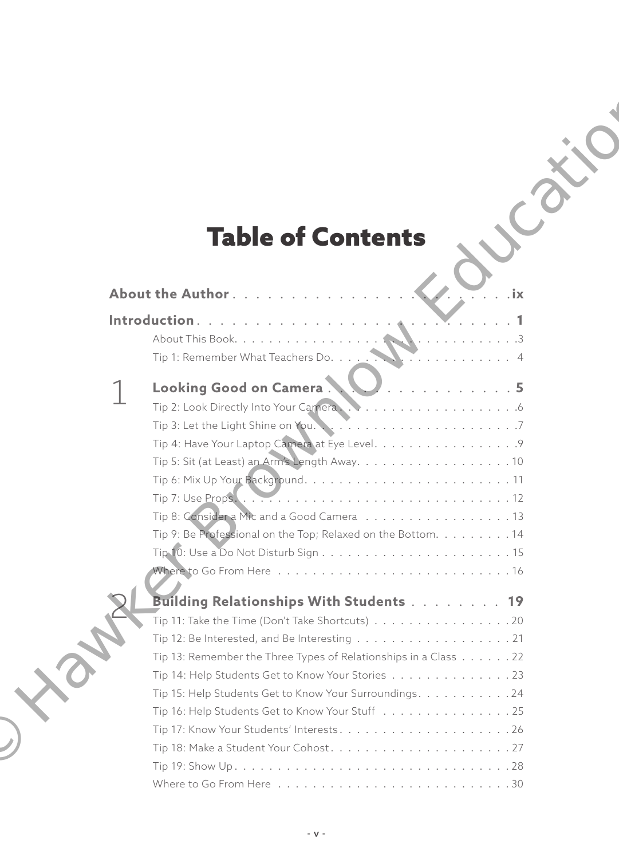# Table of Contents

| <b>Table of Contents</b>                                                                               |
|--------------------------------------------------------------------------------------------------------|
|                                                                                                        |
|                                                                                                        |
| About the Author<br>. ix                                                                               |
|                                                                                                        |
|                                                                                                        |
|                                                                                                        |
|                                                                                                        |
| Looking Good on Camera.<br>'. <b>5</b>                                                                 |
|                                                                                                        |
|                                                                                                        |
| Tip 4: Have Your Laptop Camera at Eye Level. 9                                                         |
|                                                                                                        |
|                                                                                                        |
| Tip 8: Considera Mic and a Good Camera 13                                                              |
|                                                                                                        |
| Tip 9: Be Professional on the Top; Relaxed on the Bottom. 14<br>$Tip 10: Use a Do Not Disturb Sign 15$ |
|                                                                                                        |
|                                                                                                        |
| Building Relationships With Students 19                                                                |
| Tip 11: Take the Time (Don't Take Shortcuts) 20                                                        |
| Tip 12: Be Interested, and Be Interesting<br>21                                                        |
| Tip 13: Remember the Three Types of Relationships in a Class 22                                        |
| Tip 14: Help Students Get to Know Your Stories 23                                                      |
| Tip 15: Help Students Get to Know Your Surroundings. 24                                                |
| Tip 16: Help Students Get to Know Your Stuff 25                                                        |
|                                                                                                        |
|                                                                                                        |
|                                                                                                        |
|                                                                                                        |

ON CO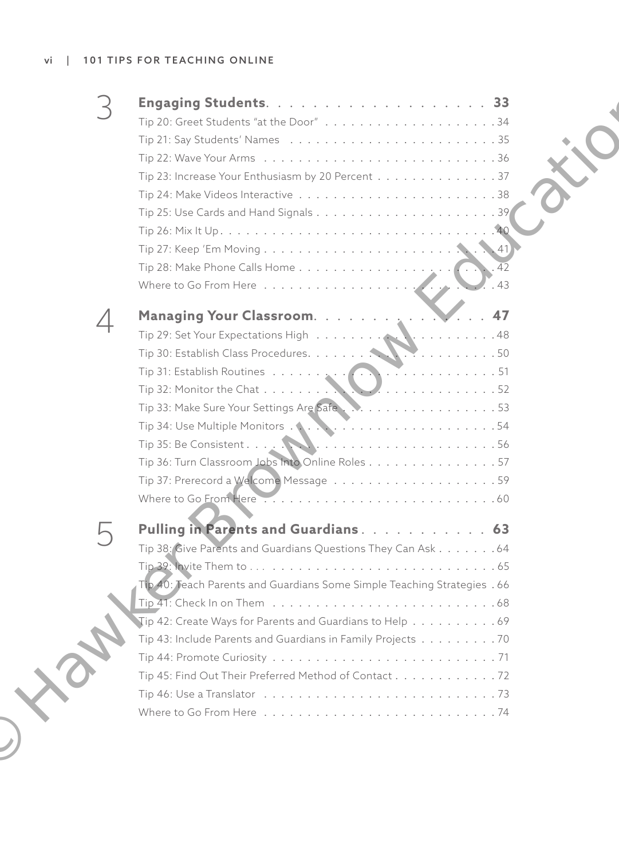| Tip 23: Increase Your Enthusiasm by 20 Percent 37                                                |  |
|--------------------------------------------------------------------------------------------------|--|
| Tip 24: Make Videos Interactive $\ldots \ldots \ldots \ldots \ldots \ldots \ldots \ldots \ldots$ |  |
|                                                                                                  |  |
|                                                                                                  |  |
|                                                                                                  |  |
| $\overline{42}$                                                                                  |  |
| $\overline{43}$                                                                                  |  |
| 47                                                                                               |  |
|                                                                                                  |  |
|                                                                                                  |  |
|                                                                                                  |  |
| Tip 32: Monitor the Chat $\dots \dots \dots$                                                     |  |
| Tip 33: Make Sure Your Settings Are Safe53                                                       |  |
|                                                                                                  |  |
|                                                                                                  |  |
| Tip 36: Turn Classroom Jobs Into Online Roles 57                                                 |  |
|                                                                                                  |  |
|                                                                                                  |  |
|                                                                                                  |  |
| Tip 38: Give Parents and Guardians Questions They Can Ask 64                                     |  |
|                                                                                                  |  |
| Tip 40: Teach Parents and Guardians Some Simple Teaching Strategies . 66                         |  |
|                                                                                                  |  |
| Tip 42: Create Ways for Parents and Guardians to Help 69                                         |  |
| Tip 43: Include Parents and Guardians in Family Projects 70                                      |  |
|                                                                                                  |  |
| Tip 45: Find Out Their Preferred Method of Contact 72                                            |  |
|                                                                                                  |  |
|                                                                                                  |  |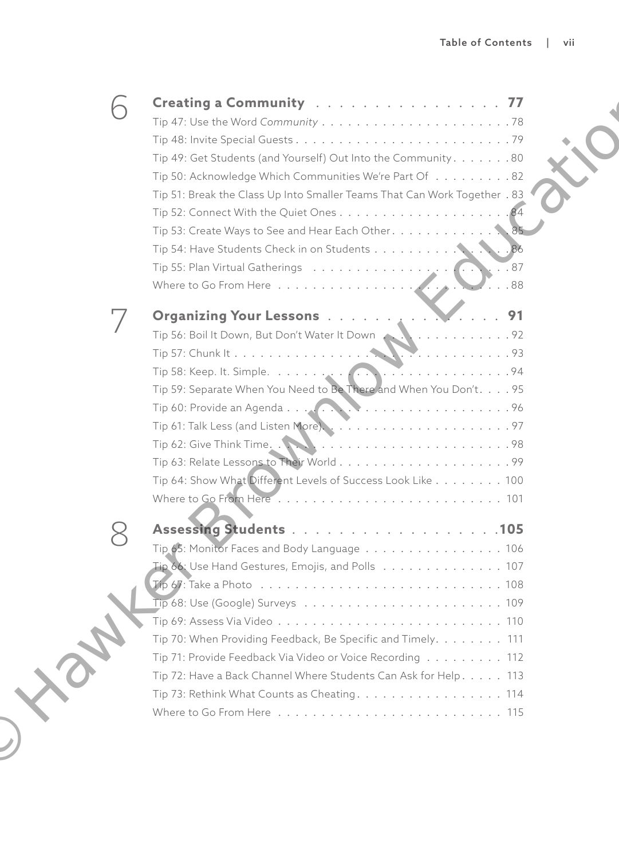| Creating a Community  77                                                  |
|---------------------------------------------------------------------------|
|                                                                           |
| Tip 49: Get Students (and Yourself) Out Into the Community. 80            |
| Tip 50: Acknowledge Which Communities We're Part Of 82                    |
| Tip 51: Break the Class Up Into Smaller Teams That Can Work Together . 83 |
|                                                                           |
| Tip 53: Create Ways to See and Hear Each Other. 85                        |
| Tip 54: Have Students Check in on Students 86                             |
| $\ddots$ 87                                                               |
|                                                                           |
| Organizing Your Lessons 91                                                |
|                                                                           |
|                                                                           |
|                                                                           |
| Tip 59: Separate When You Need to Be There and When You Don't. 95         |
|                                                                           |
|                                                                           |
|                                                                           |
|                                                                           |
| Tip 64: Show What Different Levels of Success Look Like 100               |
|                                                                           |
| Assessing Students 105                                                    |
| Tip 65: Monitor Faces and Body Language 106                               |
| $Tip 66: Use Hand Gestures, Emojis, and Polls     107$                    |
|                                                                           |
|                                                                           |
|                                                                           |
| Tip 70: When Providing Feedback, Be Specific and Timely. 111              |
| Tip 71: Provide Feedback Via Video or Voice Recording 112                 |
| Tip 72: Have a Back Channel Where Students Can Ask for Help. 113          |
| Tip 73: Rethink What Counts as Cheating. 114                              |
|                                                                           |
|                                                                           |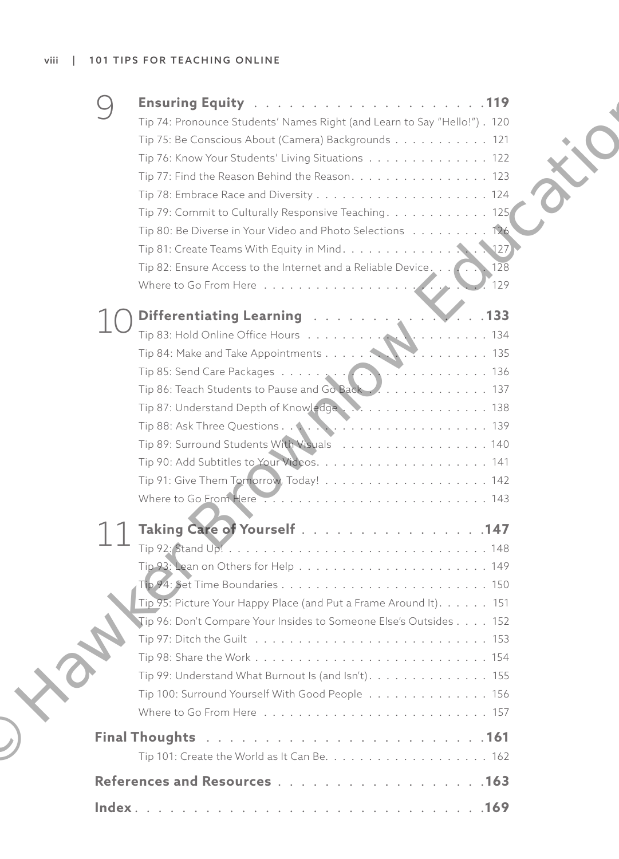| Tip 74: Pronounce Students' Names Right (and Learn to Say "Hello!"). 120<br>Tip 75: Be Conscious About (Camera) Backgrounds 121<br>Tip 76: Know Your Students' Living Situations 122<br>Tip 77: Find the Reason Behind the Reason. 123<br>Tip 79: Commit to Culturally Responsive Teaching. 125<br>Tip 80: Be Diverse in Your Video and Photo Selections 126<br>Tip 81: Create Teams With Equity in Mind. 127<br>Tip 82: Ensure Access to the Internet and a Reliable Device<br>128 |  |
|-------------------------------------------------------------------------------------------------------------------------------------------------------------------------------------------------------------------------------------------------------------------------------------------------------------------------------------------------------------------------------------------------------------------------------------------------------------------------------------|--|
| 129                                                                                                                                                                                                                                                                                                                                                                                                                                                                                 |  |
| Differentiating Learning 7<br>$\sim$ . 133                                                                                                                                                                                                                                                                                                                                                                                                                                          |  |
|                                                                                                                                                                                                                                                                                                                                                                                                                                                                                     |  |
| Tip 89: Surround Students With Visuals 140                                                                                                                                                                                                                                                                                                                                                                                                                                          |  |
|                                                                                                                                                                                                                                                                                                                                                                                                                                                                                     |  |
| Taking Care of Yourself 147                                                                                                                                                                                                                                                                                                                                                                                                                                                         |  |
|                                                                                                                                                                                                                                                                                                                                                                                                                                                                                     |  |
| Tip 95: Picture Your Happy Place (and Put a Frame Around It). 151                                                                                                                                                                                                                                                                                                                                                                                                                   |  |
| Tip 96: Don't Compare Your Insides to Someone Else's Outsides 152                                                                                                                                                                                                                                                                                                                                                                                                                   |  |
| Tip 99: Understand What Burnout Is (and Isn't). 155<br>Tip 100: Surround Yourself With Good People 156                                                                                                                                                                                                                                                                                                                                                                              |  |
|                                                                                                                                                                                                                                                                                                                                                                                                                                                                                     |  |
|                                                                                                                                                                                                                                                                                                                                                                                                                                                                                     |  |
|                                                                                                                                                                                                                                                                                                                                                                                                                                                                                     |  |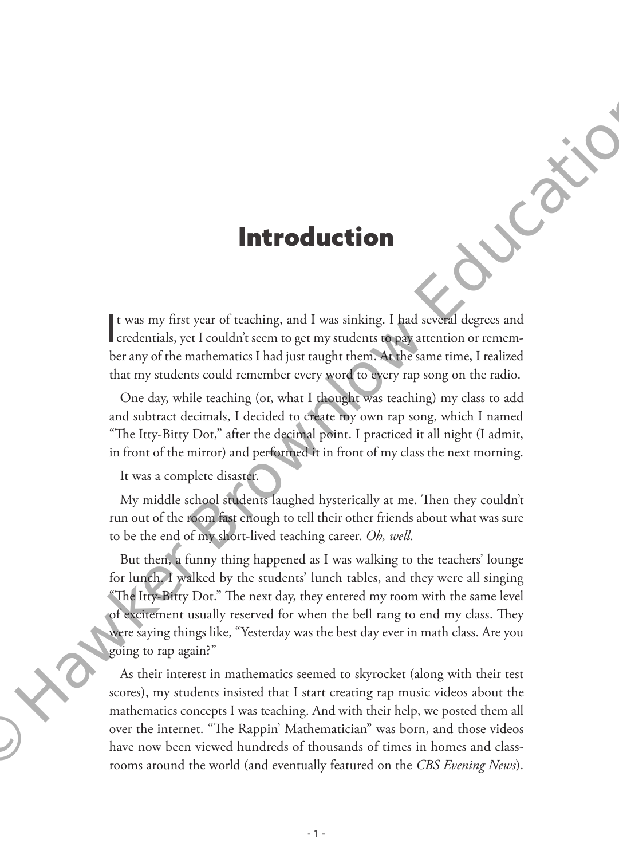## Introduction

It was my first year of teaching, and I was sinking. I had several degrees and credentials, yet I couldn't seem to get my students to pay attention or rememt was my first year of teaching, and I was sinking. I had several degrees and ber any of the mathematics I had just taught them. At the same time, I realized that my students could remember every word to every rap song on the radio.

One day, while teaching (or, what I thought was teaching) my class to add and subtract decimals, I decided to create my own rap song, which I named "The Itty-Bitty Dot," after the decimal point. I practiced it all night (I admit, in front of the mirror) and performed it in front of my class the next morning.

It was a complete disaster.

My middle school students laughed hysterically at me. Then they couldn't run out of the room fast enough to tell their other friends about what was sure to be the end of my short-lived teaching career. *Oh, well*.

But then, a funny thing happened as I was walking to the teachers' lounge for lunch. I walked by the students' lunch tables, and they were all singing "The Itty-Bitty Dot." The next day, they entered my room with the same level of excitement usually reserved for when the bell rang to end my class. They were saying things like, "Yesterday was the best day ever in math class. Are you going to rap again?" **Introduction**<br> **Introduction**<br> **I** (was my first year of teaching, and I was sinking. I had second degrees and<br>
receiventials, yet couldn's seem of your sudents of paging when the range of the mathematics I had just may

As their interest in mathematics seemed to skyrocket (along with their test scores), my students insisted that I start creating rap music videos about the mathematics concepts I was teaching. And with their help, we posted them all over the internet. "The Rappin' Mathematician" was born, and those videos<br>have now been viewed hundreds of thousands of times in homes and class-<br>rooms around the world (and eventually featured on the CBS Evening News) rooms around the world (and eventually featured on the *CBS Evening News*).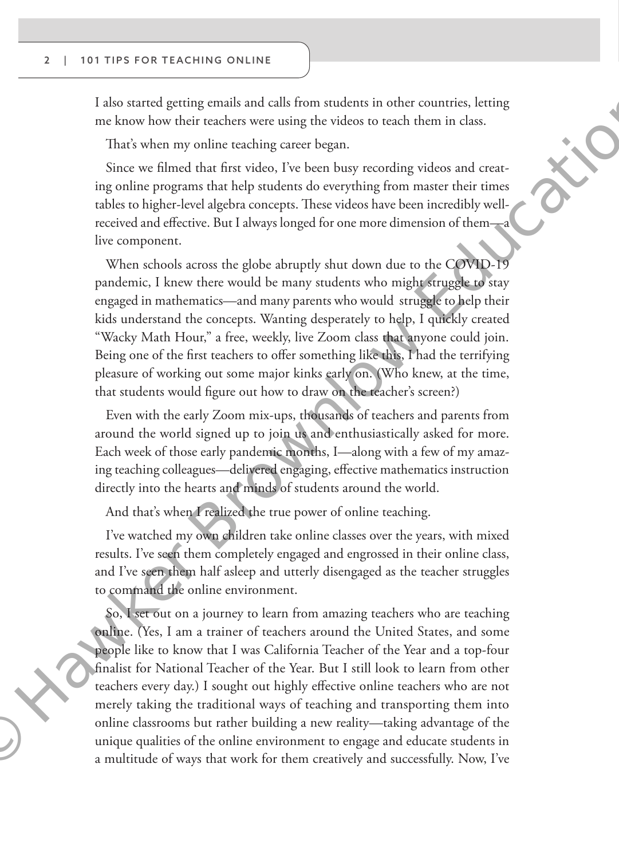#### 2 | 101 TIPS FOR TEACHING ONLINE

 $\bigcup$ 

I also started getting emails and calls from students in other countries, letting me know how their teachers were using the videos to teach them in class.

That's when my online teaching career began.

Since we filmed that first video, I've been busy recording videos and creating online programs that help students do everything from master their times tables to higher-level algebra concepts. These videos have been incredibly wellreceived and effective. But I always longed for one more dimension of them—a live component.

When schools across the globe abruptly shut down due to the COVID-19 pandemic, I knew there would be many students who might struggle to stay engaged in mathematics—and many parents who would struggle to help their kids understand the concepts. Wanting desperately to help, I quickly created "Wacky Math Hour," a free, weekly, live Zoom class that anyone could join. Being one of the first teachers to offer something like this, I had the terrifying pleasure of working out some major kinks early on. (Who knew, at the time, that students would figure out how to draw on the teacher's screen?) I also transmel greating mails and calls from students in other connities. It<br>clusters of the parameteristic and for the colonic of the state and the<br>state parameter of the state and the first side of the state of the<br>sta

Even with the early Zoom mix-ups, thousands of teachers and parents from around the world signed up to join us and enthusiastically asked for more. Each week of those early pandemic months, I—along with a few of my amazing teaching colleagues—delivered engaging, effective mathematics instruction directly into the hearts and minds of students around the world.

And that's when I realized the true power of online teaching.

I've watched my own children take online classes over the years, with mixed results. I've seen them completely engaged and engrossed in their online class, and I've seen them half asleep and utterly disengaged as the teacher struggles to command the online environment.

So, I set out on a journey to learn from amazing teachers who are teaching online. (Yes, I am a trainer of teachers around the United States, and some people like to know that I was California Teacher of the Year and a top-four finalist for National Teacher of the Year. But I still look to learn from other teachers every day.) I sought out highly effective online teachers who are not merely taking the traditional ways of teaching and transporting them into online classrooms but rather building a new reality—taking advantage of the unique qualities of the online environment to engage and educate students in a multitude of ways that work for them creatively and successfully. Now, I've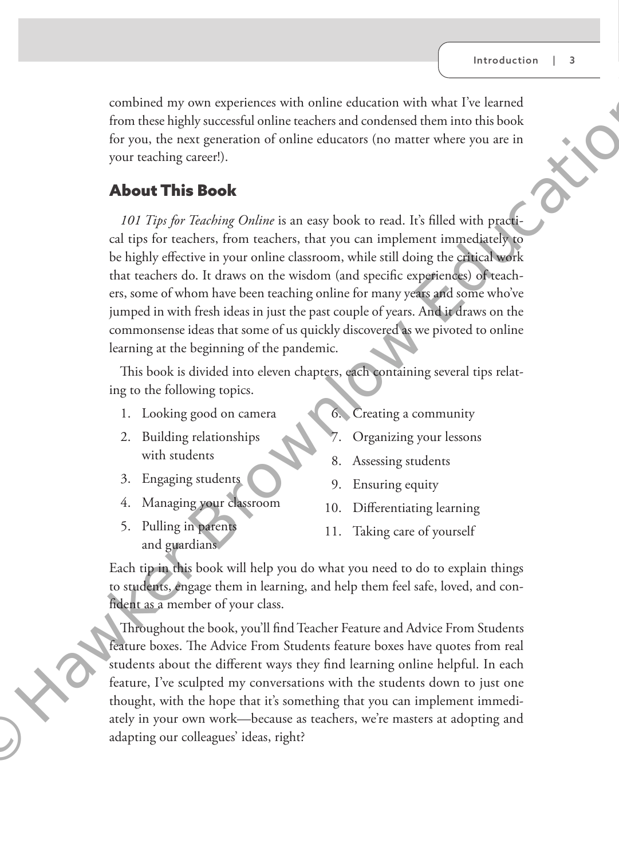combined my own experiences with online education with what I've learned from these highly successful online teachers and condensed them into this book for you, the next generation of online educators (no matter where you are in your teaching career!).

### About This Book

*101 Tips for Teaching Online* is an easy book to read. It's filled with practical tips for teachers, from teachers, that you can implement immediately to be highly effective in your online classroom, while still doing the critical work that teachers do. It draws on the wisdom (and specific experiences) of teachers, some of whom have been teaching online for many years and some who've jumped in with fresh ideas in just the past couple of years. And it draws on the commonsense ideas that some of us quickly discovered as we pivoted to online learning at the beginning of the pandemic. combined my user particles with online education with what IV learned the particles and condensed duent into balabook<br>for you, the next generation of indire educators (no matter where you are in<br>you, the next generation o

This book is divided into eleven chapters, each containing several tips relating to the following topics.

- 1. Looking good on camera
- 2. Building relationships with students
- 6. Creating a community
- Organizing your lessons
- 3. Engaging students
- 
- 4. Managing your classroom
- 5. Pulling in parents and guardians
- 8. Assessing students
- 9. Ensuring equity
- 10. Differentiating learning
- 11. Taking care of yourself

Each tip in this book will help you do what you need to do to explain things to students, engage them in learning, and help them feel safe, loved, and confident as a member of your class.

Throughout the book, you'll find Teacher Feature and Advice From Students feature boxes. The Advice From Students feature boxes have quotes from real students about the different ways they find learning online helpful. In each feature, I've sculpted my conversations with the students down to just one thought, with the hope that it's something that you can implement immediately in your own work—because as teachers, we're masters at adopting and adapting our colleagues' ideas, right?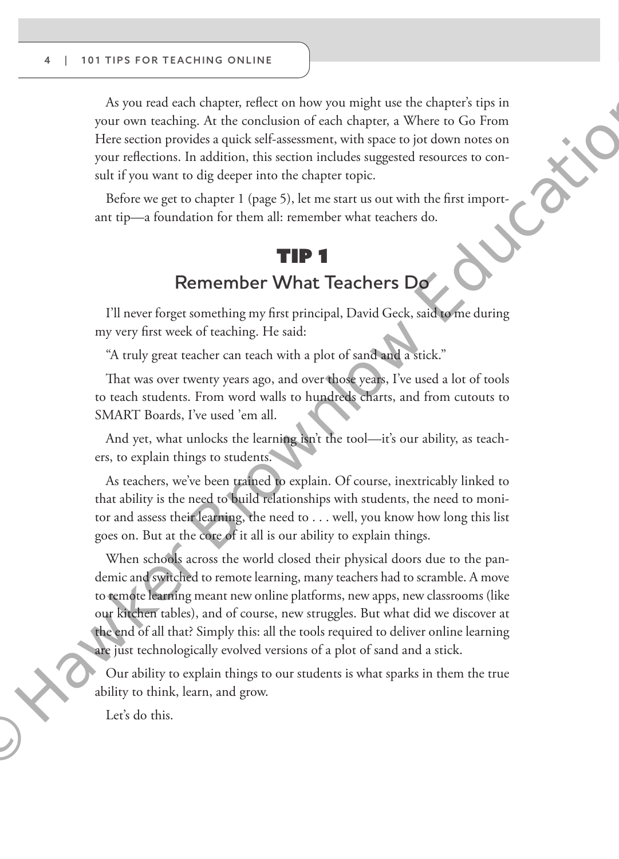As you read each chapter, reflect on how you might use the chapter's tips in your own teaching. At the conclusion of each chapter, a Where to Go From Here section provides a quick self-assessment, with space to jot down notes on your reflections. In addition, this section includes suggested resources to consult if you want to dig deeper into the chapter topic.

Before we get to chapter 1 (page 5), let me start us out with the first important tip—a foundation for them all: remember what teachers do.

## Tip 1 **Remember What Teachers Do**

I'll never forget something my first principal, David Geck, said to me during my very first week of teaching. He said:

"A truly great teacher can teach with a plot of sand and a stick."

That was over twenty years ago, and over those years, I've used a lot of tools to teach students. From word walls to hundreds charts, and from cutouts to SMART Boards, I've used 'em all.

And yet, what unlocks the learning isn't the tool—it's our ability, as teachers, to explain things to students.

As teachers, we've been trained to explain. Of course, inextricably linked to that ability is the need to build relationships with students, the need to monitor and assess their learning, the need to . . . well, you know how long this list goes on. But at the core of it all is our ability to explain things.

When schools across the world closed their physical doors due to the pandemic and switched to remote learning, many teachers had to scramble. A move to remote learning meant new online platforms, new apps, new classrooms (like our kitchen tables), and of course, new struggles. But what did we discover at the end of all that? Simply this: all the tools required to deliver online learning are just technologically evolved versions of a plot of sand and a stick. As your read each observe reflect on thow you may might use the chorence vigin the condition of each changes at Where to G From Here we caller provides a quick self-assessment, with space (in other measure on your reflect

Our ability to explain things to our students is what sparks in them the true ability to think, learn, and grow.

Let's do this.